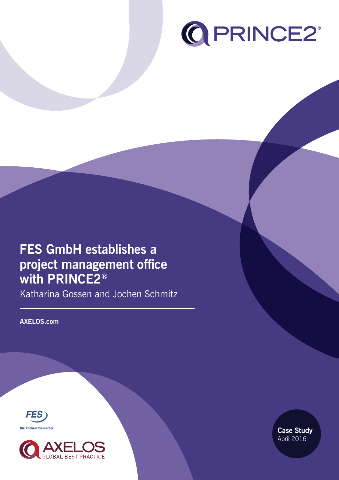

# **FES GmbH establishes a project management office with PRINCE2®**

Katharina Gossen and Jochen Schmitz

**AXELOS.com**





**Case Study** April 2016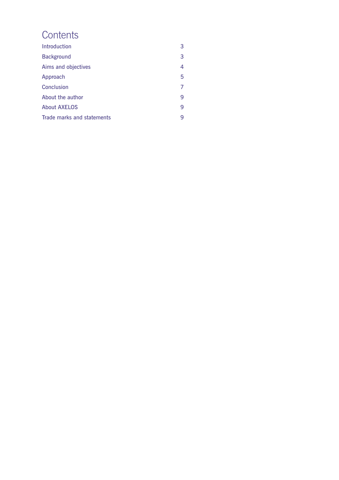# **Contents**

| Introduction               | 3 |
|----------------------------|---|
| <b>Background</b>          | 3 |
| Aims and objectives        | 4 |
| Approach                   | 5 |
| Conclusion                 | 7 |
| About the author           | 9 |
| <b>About AXELOS</b>        | 9 |
| Trade marks and statements | q |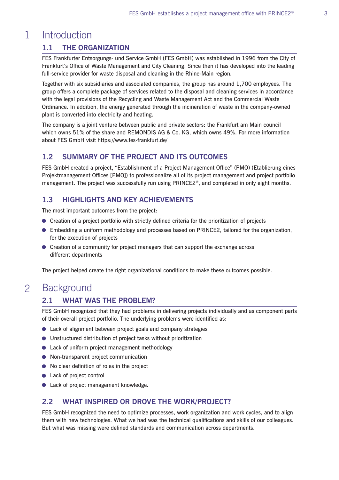#### **Introduction** 1

# **1.1 THE ORGANIZATION**

FES Frankfurter Entsorgungs- und Service GmbH (FES GmbH) was established in 1996 from the City of Frankfurt's Office of Waste Management and City Cleaning. Since then it has developed into the leading full-service provider for waste disposal and cleaning in the Rhine-Main region.

Together with six subsidiaries and associated companies, the group has around 1,700 employees. The group offers a complete package of services related to the disposal and cleaning services in accordance with the legal provisions of the Recycling and Waste Management Act and the Commercial Waste Ordinance. In addition, the energy generated through the incineration of waste in the company-owned plant is converted into electricity and heating.

The company is a joint venture between public and private sectors: the Frankfurt am Main council which owns 51% of the share and REMONDIS AG & Co. KG, which owns 49%. For more information about FES GmbH visit <https://www.fes-frankfurt.de/>

# **1.2 SUMMARY OF THE PROJECT AND ITS OUTCOMES**

FES GmbH created a project, "Establishment of a Project Management Office" (PMO) (Etablierung eines Projektmanagement Offices [PMO]) to professionalize all of its project management and project portfolio management. The project was successfully run using PRINCE2®, and completed in only eight months.

# **1.3 HIGHLIGHTS AND KEY ACHIEVEMENTS**

The most important outcomes from the project:

- Creation of a project portfolio with strictly defined criteria for the prioritization of projects
- Embedding a uniform methodology and processes based on PRINCE2, tailored for the organization, for the execution of projects
- Creation of a community for project managers that can support the exchange across different departments

The project helped create the right organizational conditions to make these outcomes possible.

#### **Background**  $\overline{2}$

# **2.1 WHAT WAS THE PROBLEM?**

FES GmbH recognized that they had problems in delivering projects individually and as component parts of their overall project portfolio. The underlying problems were identified as:

- Lack of alignment between project goals and company strategies
- Unstructured distribution of project tasks without prioritization
- Lack of uniform project management methodology
- Non-transparent project communication
- No clear definition of roles in the project
- Lack of project control
- Lack of project management knowledge.

# **2.2 WHAT INSPIRED OR DROVE THE WORK/PROJECT?**

FES GmbH recognized the need to optimize processes, work organization and work cycles, and to align them with new technologies. What we had was the technical qualifications and skills of our colleagues. But what was missing were defined standards and communication across departments.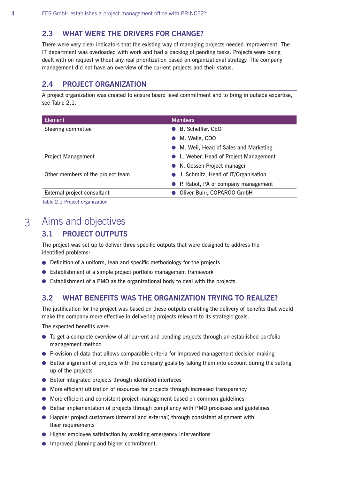# **2.3 WHAT WERE THE DRIVERS FOR CHANGE?**

There were very clear indicators that the existing way of managing projects needed improvement. The IT department was overloaded with work and had a backlog of pending tasks. Projects were being dealt with on request without any real prioritization based on organizational strategy. The company management did not have an overview of the current projects and their status.

# **2.4 PROJECT ORGANIZATION**

A project organization was created to ensure board level commitment and to bring in outside expertise, see Table 2.1.

| <b>Element</b>                    | <b>Members</b>                         |
|-----------------------------------|----------------------------------------|
| Steering committee                | B. Scheffler, CEO                      |
|                                   | M. Welle, COO                          |
|                                   | M. Weil, Head of Sales and Marketing   |
| <b>Project Management</b>         | • L. Weber, Head of Project Management |
|                                   | K. Gossen Project manager              |
| Other members of the project team | • J. Schmitz, Head of IT/Organisation  |
|                                   | P. Rabot, PA of company management     |
| External project consultant       | Oliver Buhr, COPARGO GmbH              |
| Tahle 2 1 Project organization.   |                                        |

Table 2.1 Project organization

#### Aims and objectives 3

# **3.1 PROJECT OUTPUTS**

The project was set up to deliver three specific outputs that were designed to address the identified problems:

- **•** Definition of a uniform, lean and specific methodology for the projects
- Establishment of a simple project portfolio management framework
- Establishment of a PMO as the organizational body to deal with the projects.

## **3.2 WHAT BENEFITS WAS THE ORGANIZATION TRYING TO REALIZE?**

The justification for the project was based on these outputs enabling the delivery of benefits that would make the company more effective in delivering projects relevant to its strategic goals.

The expected benefits were:

- To get a complete overview of all current and pending projects through an established portfolio management method
- Provision of data that allows comparable criteria for improved management decision-making
- **•** Better alignment of projects with the company goals by taking them into account during the setting up of the projects
- Better integrated projects through identified interfaces
- More efficient utilization of resources for projects through increased transparency
- More efficient and consistent project management based on common guidelines
- Better implementation of projects through compliancy with PMO processes and guidelines
- Happier project customers (internal and external) through consistent alignment with their requirements
- Higher employee satisfaction by avoiding emergency interventions
- **Improved planning and higher commitment.**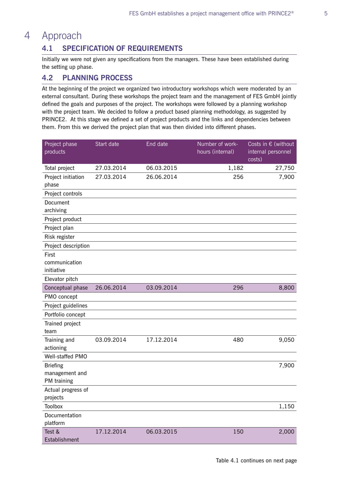#### Approach 4

# **4.1 SPECIFICATION OF REQUIREMENTS**

Initially we were not given any specifications from the managers. These have been established during the setting up phase.

## **4.2 PLANNING PROCESS**

At the beginning of the project we organized two introductory workshops which were moderated by an external consultant. During these workshops the project team and the management of FES GmbH jointly defined the goals and purposes of the project. The workshops were followed by a planning workshop with the project team. We decided to follow a product based planning methodology, as suggested by PRINCE2. At this stage we defined a set of project products and the links and dependencies between them. From this we derived the project plan that was then divided into different phases.

| Project phase<br>products                        | Start date | End date   | Number of work-<br>hours (internal) | Costs in $\epsilon$ (without<br>internal personnel<br>$\overline{\text{costs}}$ |
|--------------------------------------------------|------------|------------|-------------------------------------|---------------------------------------------------------------------------------|
| Total project                                    | 27.03.2014 | 06.03.2015 | 1,182                               | 27,750                                                                          |
| Project initiation<br>phase                      | 27.03.2014 | 26.06.2014 | 256                                 | 7,900                                                                           |
| Project controls                                 |            |            |                                     |                                                                                 |
| <b>Document</b><br>archiving                     |            |            |                                     |                                                                                 |
| Project product                                  |            |            |                                     |                                                                                 |
| Project plan                                     |            |            |                                     |                                                                                 |
| Risk register                                    |            |            |                                     |                                                                                 |
| Project description                              |            |            |                                     |                                                                                 |
| First<br>communication<br>initiative             |            |            |                                     |                                                                                 |
| Elevator pitch                                   |            |            |                                     |                                                                                 |
| Conceptual phase                                 | 26.06.2014 | 03.09.2014 | 296                                 | 8,800                                                                           |
| PMO concept                                      |            |            |                                     |                                                                                 |
| Project guidelines                               |            |            |                                     |                                                                                 |
| Portfolio concept                                |            |            |                                     |                                                                                 |
| Trained project<br>team                          |            |            |                                     |                                                                                 |
| Training and<br>actioning                        | 03.09.2014 | 17.12.2014 | 480                                 | 9,050                                                                           |
| Well-staffed PMO                                 |            |            |                                     |                                                                                 |
| <b>Briefing</b><br>management and<br>PM training |            |            |                                     | 7,900                                                                           |
| Actual progress of<br>projects                   |            |            |                                     |                                                                                 |
| <b>Toolbox</b>                                   |            |            |                                     | 1,150                                                                           |
| Documentation<br>platform                        |            |            |                                     |                                                                                 |
| Test &<br>Establishment                          | 17.12.2014 | 06.03.2015 | 150                                 | 2,000                                                                           |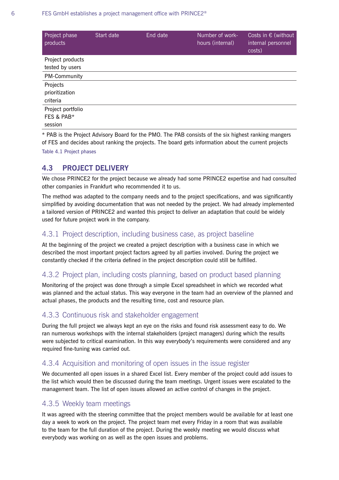| Start date | End date | Number of work-<br>hours (internal) | Costs in $\epsilon$ (without<br>internal personnel<br>costs) |
|------------|----------|-------------------------------------|--------------------------------------------------------------|
|            |          |                                     |                                                              |
|            |          |                                     |                                                              |
|            |          |                                     |                                                              |
|            |          |                                     |                                                              |
|            |          |                                     |                                                              |
|            |          |                                     |                                                              |
|            |          |                                     |                                                              |
|            |          |                                     |                                                              |
|            |          |                                     |                                                              |
|            |          |                                     |                                                              |

\* PAB is the Project Advisory Board for the PMO. The PAB consists of the six highest ranking mangers of FES and decides about ranking the projects. The board gets information about the current projects Table 4.1 Project phases

## **4.3 PROJECT DELIVERY**

We chose PRINCE2 for the project because we already had some PRINCE2 expertise and had consulted other companies in Frankfurt who recommended it to us.

The method was adapted to the company needs and to the project specifications, and was significantly simplified by avoiding documentation that was not needed by the project. We had already implemented a tailored version of PRINCE2 and wanted this project to deliver an adaptation that could be widely used for future project work in the company.

## 4.3.1 Project description, including business case, as project baseline

At the beginning of the project we created a project description with a business case in which we described the most important project factors agreed by all parties involved. During the project we constantly checked if the criteria defined in the project description could still be fulfilled.

## 4.3.2 Project plan, including costs planning, based on product based planning

Monitoring of the project was done through a simple Excel spreadsheet in which we recorded what was planned and the actual status. This way everyone in the team had an overview of the planned and actual phases, the products and the resulting time, cost and resource plan.

## 4.3.3 Continuous risk and stakeholder engagement

During the full project we always kept an eye on the risks and found risk assessment easy to do. We ran numerous workshops with the internal stakeholders (project managers) during which the results were subjected to critical examination. In this way everybody's requirements were considered and any required fine-tuning was carried out.

## 4.3.4 Acquisition and monitoring of open issues in the issue register

We documented all open issues in a shared Excel list. Every member of the project could add issues to the list which would then be discussed during the team meetings. Urgent issues were escalated to the management team. The list of open issues allowed an active control of changes in the project.

## 4.3.5 Weekly team meetings

It was agreed with the steering committee that the project members would be available for at least one day a week to work on the project. The project team met every Friday in a room that was available to the team for the full duration of the project. During the weekly meeting we would discuss what everybody was working on as well as the open issues and problems.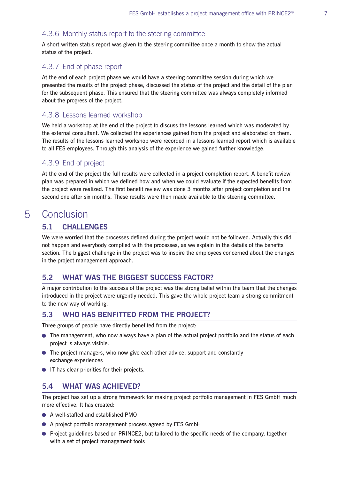#### 4.3.6 Monthly status report to the steering committee

A short written status report was given to the steering committee once a month to show the actual status of the project.

# 4.3.7 End of phase report

At the end of each project phase we would have a steering committee session during which we presented the results of the project phase, discussed the status of the project and the detail of the plan for the subsequent phase. This ensured that the steering committee was always completely informed about the progress of the project.

#### 4.3.8 Lessons learned workshop

We held a workshop at the end of the project to discuss the lessons learned which was moderated by the external consultant. We collected the experiences gained from the project and elaborated on them. The results of the lessons learned workshop were recorded in a lessons learned report which is available to all FES employees. Through this analysis of the experience we gained further knowledge.

## 4.3.9 End of project

At the end of the project the full results were collected in a project completion report. A benefit review plan was prepared in which we defined how and when we could evaluate if the expected benefits from the project were realized. The first benefit review was done 3 months after project completion and the second one after six months. These results were then made available to the steering committee.

#### 5 **Conclusion**

#### **5.1 CHALLENGES**

We were worried that the processes defined during the project would not be followed. Actually this did not happen and everybody complied with the processes, as we explain in the details of the benefits section. The biggest challenge in the project was to inspire the employees concerned about the changes in the project management approach.

## **5.2 WHAT WAS THE BIGGEST SUCCESS FACTOR?**

A major contribution to the success of the project was the strong belief within the team that the changes introduced in the project were urgently needed. This gave the whole project team a strong commitment to the new way of working.

#### **5.3 WHO HAS BENFITTED FROM THE PROJECT?**

Three groups of people have directly benefited from the project:

- The management, who now always have a plan of the actual project portfolio and the status of each project is always visible.
- The project managers, who now give each other advice, support and constantly exchange experiences
- IT has clear priorities for their projects.

## **5.4 WHAT WAS ACHIEVED?**

The project has set up a strong framework for making project portfolio management in FES GmbH much more effective. It has created:

- A well-staffed and established PMO
- A project portfolio management process agreed by FES GmbH
- Project guidelines based on PRINCE2, but tailored to the specific needs of the company, together with a set of project management tools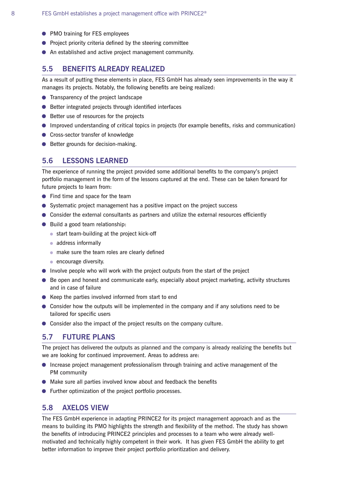- PMO training for FES employees
- **•** Project priority criteria defined by the steering committee
- An established and active project management community.

#### **5.5 BENEFITS ALREADY REALIZED**

As a result of putting these elements in place, FES GmbH has already seen improvements in the way it manages its projects. Notably, the following benefits are being realized:

- **•** Transparency of the project landscape
- Better integrated projects through identified interfaces
- Better use of resources for the projects
- Improved understanding of critical topics in projects (for example benefits, risks and communication)
- Cross-sector transfer of knowledge
- Better grounds for decision-making.

#### **5.6 LESSONS LEARNED**

The experience of running the project provided some additional benefits to the company's project portfolio management in the form of the lessons captured at the end. These can be taken forward for future projects to learn from:

- Find time and space for the team
- Systematic project management has a positive impact on the project success
- Consider the external consultants as partners and utilize the external resources efficiently
- Build a good team relationship:
	- start team-building at the project kick-off
	- address informally
	- make sure the team roles are clearly defined
	- **encourage diversity.**
- $\bullet$  Involve people who will work with the project outputs from the start of the project
- Be open and honest and communicate early, especially about project marketing, activity structures and in case of failure
- Keep the parties involved informed from start to end
- Consider how the outputs will be implemented in the company and if any solutions need to be tailored for specific users
- Consider also the impact of the project results on the company culture.

#### **5.7 FUTURE PLANS**

The project has delivered the outputs as planned and the company is already realizing the benefits but we are looking for continued improvement. Areas to address are:

- Increase project management professionalism through training and active management of the PM community
- Make sure all parties involved know about and feedback the benefits
- **•** Further optimization of the project portfolio processes.

#### **5.8 AXELOS VIEW**

The FES GmbH experience in adapting PRINCE2 for its project management approach and as the means to building its PMO highlights the strength and flexibility of the method. The study has shown the benefits of introducing PRINCE2 principles and processes to a team who were already wellmotivated and technically highly competent in their work. It has given FES GmbH the ability to get better information to improve their project portfolio prioritization and delivery.